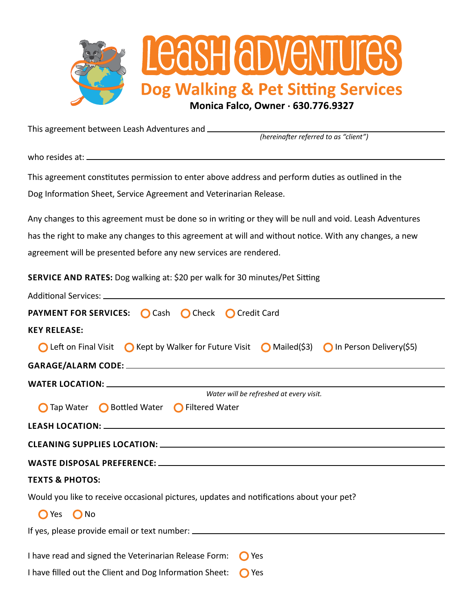

This agreement between Leash Adventures and

*(hereinafter referred to as "client")*

who resides at: \_\_\_\_

This agreement constitutes permission to enter above address and perform duties as outlined in the Dog Information Sheet, Service Agreement and Veterinarian Release.

Any changes to this agreement must be done so in writing or they will be null and void. Leash Adventures has the right to make any changes to this agreement at will and without notice. With any changes, a new agreement will be presented before any new services are rendered.

**SERVICE AND RATES:** Dog walking at: \$20 per walk for 30 minutes/Pet Sitting

| <b>PAYMENT FOR SERVICES:</b> Cash C Check C Credit Card                                         |  |  |  |
|-------------------------------------------------------------------------------------------------|--|--|--|
| <b>KEY RELEASE:</b>                                                                             |  |  |  |
| ◯ Left on Final Visit ◯ Kept by Walker for Future Visit ◯ Mailed(\$3) ◯ In Person Delivery(\$5) |  |  |  |
|                                                                                                 |  |  |  |
|                                                                                                 |  |  |  |
| Water will be refreshed at every visit.                                                         |  |  |  |
| Tap Water ◯ Bottled Water ◯ Filtered Water                                                      |  |  |  |
|                                                                                                 |  |  |  |
|                                                                                                 |  |  |  |
|                                                                                                 |  |  |  |
| <b>TEXTS &amp; PHOTOS:</b>                                                                      |  |  |  |
| Would you like to receive occasional pictures, updates and notifications about your pet?        |  |  |  |
| $\bigcirc$ Yes<br>$\bigcirc$ No                                                                 |  |  |  |
| If yes, please provide email or text number: ___________________________________                |  |  |  |
|                                                                                                 |  |  |  |
| I have read and signed the Veterinarian Release Form:<br><b>O</b> Yes                           |  |  |  |
| I have filled out the Client and Dog Information Sheet:<br><b>O</b> Yes                         |  |  |  |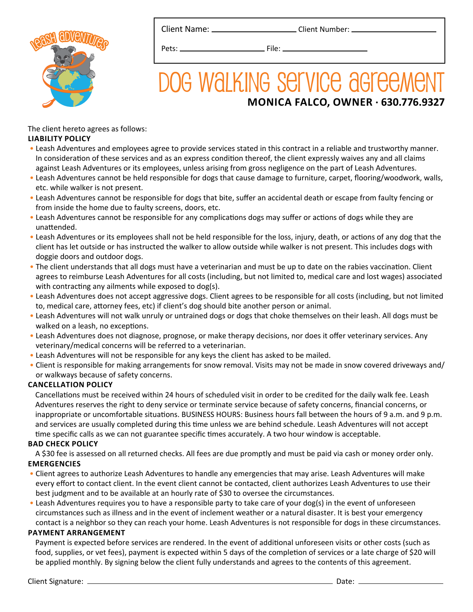

Client Name: \_\_\_\_\_\_\_\_\_\_\_\_\_\_\_\_\_\_\_\_\_\_\_\_\_\_Client Number: \_



Pets: File:

# DOG WALKING SEIVICE AGFEEMENT **MONICA FALCO, OWNER . 630.776.9327**

The client hereto agrees as follows: **LIABILITY POLICY**

- Leash Adventures and employees agree to provide services stated in this contract in a reliable and trustworthy manner. In consideration of these services and as an express condition thereof, the client expressly waives any and all claims against Leash Adventures or its employees, unless arising from gross negligence on the part of Leash Adventures.
- Leash Adventures cannot be held responsible for dogs that cause damage to furniture, carpet, flooring/woodwork, walls, etc. while walker is not present.
- Leash Adventures cannot be responsible for dogs that bite, suffer an accidental death or escape from faulty fencing or from inside the home due to faulty screens, doors, etc.
- Leash Adventures cannot be responsible for any complications dogs may suffer or actions of dogs while they are unattended.
- Leash Adventures or its employees shall not be held responsible for the loss, injury, death, or actions of any dog that the client has let outside or has instructed the walker to allow outside while walker is not present. This includes dogs with doggie doors and outdoor dogs.
- The client understands that all dogs must have a veterinarian and must be up to date on the rabies vaccination. Client agrees to reimburse Leash Adventures for all costs (including, but not limited to, medical care and lost wages) associated with contracting any ailments while exposed to dog(s).
- Leash Adventures does not accept aggressive dogs. Client agrees to be responsible for all costs (including, but not limited to, medical care, attorney fees, etc) if client's dog should bite another person or animal.
- Leash Adventures will not walk unruly or untrained dogs or dogs that choke themselves on their leash. All dogs must be walked on a leash, no exceptions.
- Leash Adventures does not diagnose, prognose, or make therapy decisions, nor does it offer veterinary services. Any veterinary/medical concerns will be referred to a veterinarian.
- Leash Adventures will not be responsible for any keys the client has asked to be mailed.
- Client is responsible for making arrangements for snow removal. Visits may not be made in snow covered driveways and/ or walkways because of safety concerns.

### **CANCELLATION POLICY**

 Cancellations must be received within 24 hours of scheduled visit in order to be credited for the daily walk fee. Leash Adventures reserves the right to deny service or terminate service because of safety concerns, financial concerns, or inappropriate or uncomfortable situations. BUSINESS HOURS: Business hours fall between the hours of 9 a.m. and 9 p.m. and services are usually completed during this time unless we are behind schedule. Leash Adventures will not accept time specific calls as we can not guarantee specific times accurately. A two hour window is acceptable.

#### **BAD CHECK POLICY**

 A \$30 fee is assessed on all returned checks. All fees are due promptly and must be paid via cash or money order only. **EMERGENCIES**

- Client agrees to authorize Leash Adventures to handle any emergencies that may arise. Leash Adventures will make every effort to contact client. In the event client cannot be contacted, client authorizes Leash Adventures to use their best judgment and to be available at an hourly rate of \$30 to oversee the circumstances.
- Leash Adventures requires you to have a responsible party to take care of your dog(s) in the event of unforeseen circumstances such as illness and in the event of inclement weather or a natural disaster. It is best your emergency contact is a neighbor so they can reach your home. Leash Adventures is not responsible for dogs in these circumstances.

#### **PAYMENT ARRANGEMENT**

 Payment is expected before services are rendered. In the event of additional unforeseen visits or other costs (such as food, supplies, or vet fees), payment is expected within 5 days of the completion of services or a late charge of \$20 will be applied monthly. By signing below the client fully understands and agrees to the contents of this agreement.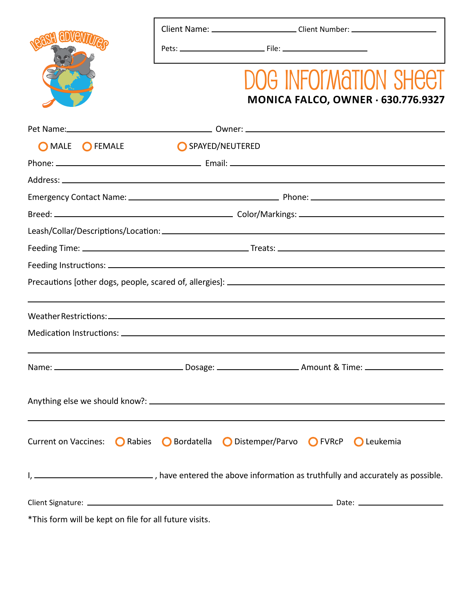Client Name: \_\_\_\_\_\_\_\_\_\_\_\_\_\_\_\_\_\_\_\_\_\_\_\_\_Client Number: \_\_\_\_\_\_\_\_\_\_\_\_\_\_\_\_\_\_\_\_\_\_\_\_\_\_\_



Pets: File:

# DOG INFORMATION SHEET **MONICA FALCO, OWNER . 630.776.9327**

| O MALE O FEMALE             | SPAYED/NEUTERED                                                                                                    |  |  |  |
|-----------------------------|--------------------------------------------------------------------------------------------------------------------|--|--|--|
|                             |                                                                                                                    |  |  |  |
|                             |                                                                                                                    |  |  |  |
|                             |                                                                                                                    |  |  |  |
|                             |                                                                                                                    |  |  |  |
|                             |                                                                                                                    |  |  |  |
|                             |                                                                                                                    |  |  |  |
|                             |                                                                                                                    |  |  |  |
|                             |                                                                                                                    |  |  |  |
|                             |                                                                                                                    |  |  |  |
|                             |                                                                                                                    |  |  |  |
|                             |                                                                                                                    |  |  |  |
|                             |                                                                                                                    |  |  |  |
|                             |                                                                                                                    |  |  |  |
|                             |                                                                                                                    |  |  |  |
|                             |                                                                                                                    |  |  |  |
|                             |                                                                                                                    |  |  |  |
| <b>Current on Vaccines:</b> | <b>○</b> Distemper/Parvo ● FVRcP<br><b>O</b> Rabies<br>$\bigcirc$ Bordatella<br>$\bigcirc$ Leukemia                |  |  |  |
|                             | I, _________________________________, have entered the above information as truthfully and accurately as possible. |  |  |  |
|                             |                                                                                                                    |  |  |  |

\*This form will be kept on file for all future visits.